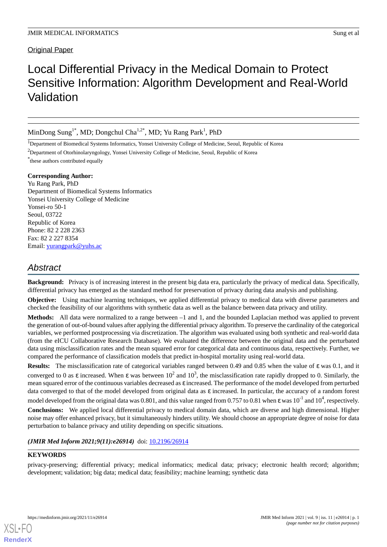# Original Paper

# Local Differential Privacy in the Medical Domain to Protect Sensitive Information: Algorithm Development and Real-World Validation

MinDong Sung<sup>1\*</sup>, MD; Dongchul Cha<sup>1,2\*</sup>, MD; Yu Rang Park<sup>1</sup>, PhD

<sup>1</sup>Department of Biomedical Systems Informatics, Yonsei University College of Medicine, Seoul, Republic of Korea

<sup>2</sup>Department of Otorhinolaryngology, Yonsei University College of Medicine, Seoul, Republic of Korea

\* these authors contributed equally

#### **Corresponding Author:**

Yu Rang Park, PhD Department of Biomedical Systems Informatics Yonsei University College of Medicine Yonsei-ro 50-1 Seoul, 03722 Republic of Korea Phone: 82 2 228 2363 Fax: 82 2 227 8354 Email: [yurangpark@yuhs.ac](mailto:yurangpark@yuhs.ac)

# *Abstract*

**Background:** Privacy is of increasing interest in the present big data era, particularly the privacy of medical data. Specifically, differential privacy has emerged as the standard method for preservation of privacy during data analysis and publishing.

**Objective:** Using machine learning techniques, we applied differential privacy to medical data with diverse parameters and checked the feasibility of our algorithms with synthetic data as well as the balance between data privacy and utility.

**Methods:** All data were normalized to a range between –1 and 1, and the bounded Laplacian method was applied to prevent the generation of out-of-bound values after applying the differential privacy algorithm. To preserve the cardinality of the categorical variables, we performed postprocessing via discretization. The algorithm was evaluated using both synthetic and real-world data (from the eICU Collaborative Research Database). We evaluated the difference between the original data and the perturbated data using misclassification rates and the mean squared error for categorical data and continuous data, respectively. Further, we compared the performance of classification models that predict in-hospital mortality using real-world data.

**Results:** The misclassification rate of categorical variables ranged between 0.49 and 0.85 when the value of ε was 0.1, and it converged to 0 as ε increased. When ε was between  $10^2$  and  $10^3$ , the misclassification rate rapidly dropped to 0. Similarly, the mean squared error of the continuous variables decreased as ε increased. The performance of the model developed from perturbed data converged to that of the model developed from original data as ε increased. In particular, the accuracy of a random forest

model developed from the original data was 0.801, and this value ranged from 0.757 to 0.81 when  $\epsilon$  was 10<sup>-1</sup> and 10<sup>4</sup>, respectively. **Conclusions:** We applied local differential privacy to medical domain data, which are diverse and high dimensional. Higher

noise may offer enhanced privacy, but it simultaneously hinders utility. We should choose an appropriate degree of noise for data perturbation to balance privacy and utility depending on specific situations.

#### (JMIR Med Inform 2021;9(11):e26914) doi: [10.2196/26914](http://dx.doi.org/10.2196/26914)

## **KEYWORDS**

[XSL](http://www.w3.org/Style/XSL)•FO **[RenderX](http://www.renderx.com/)**

privacy-preserving; differential privacy; medical informatics; medical data; privacy; electronic health record; algorithm; development; validation; big data; medical data; feasibility; machine learning; synthetic data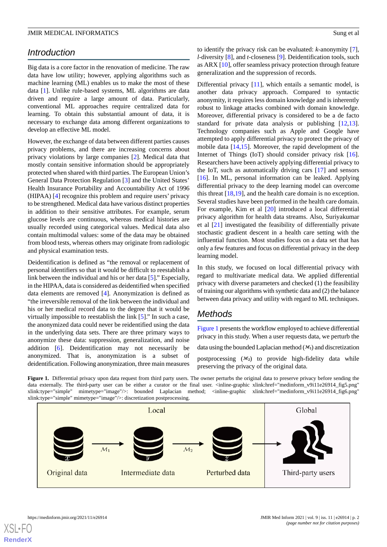# *Introduction*

Big data is a core factor in the renovation of medicine. The raw data have low utility; however, applying algorithms such as machine learning (ML) enables us to make the most of these data [\[1](#page-5-0)]. Unlike rule-based systems, ML algorithms are data driven and require a large amount of data. Particularly, conventional ML approaches require centralized data for learning. To obtain this substantial amount of data, it is necessary to exchange data among different organizations to develop an effective ML model.

However, the exchange of data between different parties causes privacy problems, and there are increasing concerns about privacy violations by large companies [\[2](#page-5-1)]. Medical data that mostly contain sensitive information should be appropriately protected when shared with third parties. The European Union's General Data Protection Regulation [[3\]](#page-5-2) and the United States' Health Insurance Portability and Accountability Act of 1996 (HIPAA) [[4\]](#page-5-3) recognize this problem and require users' privacy to be strengthened. Medical data have various distinct properties in addition to their sensitive attributes. For example, serum glucose levels are continuous, whereas medical histories are usually recorded using categorical values. Medical data also contain multimodal values: some of the data may be obtained from blood tests, whereas others may originate from radiologic and physical examination tests.

Deidentification is defined as "the removal or replacement of personal identifiers so that it would be difficult to reestablish a link between the individual and his or her data [\[5](#page-5-4)]." Especially, in the HIPAA, data is considered as deidentified when specified data elements are removed [[4](#page-5-3)]. Anonymization is defined as "the irreversible removal of the link between the individual and his or her medical record data to the degree that it would be virtually impossible to reestablish the link [\[5](#page-5-4)]." In such a case, the anonymized data could never be reidentified using the data in the underlying data sets. There are three primary ways to anonymize these data: suppression, generalization, and noise addition [[6](#page-5-5)]. Deidentification may not necessarily be anonymized. That is, anonymization is a subset of deidentification. Following anonymization, three main measures

to identify the privacy risk can be evaluated: *k*-anonymity [[7\]](#page-5-6), *l*-diversity [\[8](#page-5-7)], and *t*-closeness [[9\]](#page-5-8). Deidentification tools, such as ARX [[10\]](#page-5-9), offer seamless privacy protection through feature generalization and the suppression of records.

Differential privacy [\[11](#page-5-10)], which entails a semantic model, is another data privacy approach. Compared to syntactic anonymity, it requires less domain knowledge and is inherently robust to linkage attacks combined with domain knowledge. Moreover, differential privacy is considered to be a de facto standard for private data analysis or publishing [\[12](#page-5-11),[13\]](#page-5-12). Technology companies such as Apple and Google have attempted to apply differential privacy to protect the privacy of mobile data [\[14](#page-5-13),[15\]](#page-5-14). Moreover, the rapid development of the Internet of Things (IoT) should consider privacy risk [[16\]](#page-6-0). Researchers have been actively applying differential privacy to the IoT, such as automatically driving cars [[17\]](#page-6-1) and sensors [[16\]](#page-6-0). In ML, personal information can be leaked. Applying differential privacy to the deep learning model can overcome this threat [\[18](#page-6-2),[19\]](#page-6-3), and the health care domain is no exception. Several studies have been performed in the health care domain. For example, Kim et al [\[20](#page-6-4)] introduced a local differential privacy algorithm for health data streams. Also, Suriyakumar et al [\[21](#page-6-5)] investigated the feasibility of differentially private stochastic gradient descent in a health care setting with the influential function. Most studies focus on a data set that has only a few features and focus on differential privacy in the deep learning model.

In this study, we focused on local differential privacy with regard to multivariate medical data. We applied differential privacy with diverse parameters and checked (1) the feasibility of training our algorithms with synthetic data and (2) the balance between data privacy and utility with regard to ML techniques.

# *Methods*

[Figure 1](#page-1-0) presents the workflow employed to achieve differential privacy in this study. When a user requests data, we perturb the

data using the bounded Laplacian method  $(\mathcal{M}_1)$  and discretization

postprocessing  $(M_2)$  to provide high-fidelity data while preserving the privacy of the original data.

<span id="page-1-0"></span>Figure 1. Differential privacy upon data request from third party users. The owner perturbs the original data to preserve privacy before sending the data externally. The third-party user can be either a curator or the final user. <inline-graphic xlink:href="medinform\_v9i11e26914\_fig5.png" xlink:type="simple" mimetype="image"/>: bounded Laplacian method; <inline-graphic xlink:href="medinform\_v9i11e26914\_fig6.png" xlink:type="simple" mimetype="image"/>: discretization postprocessing.

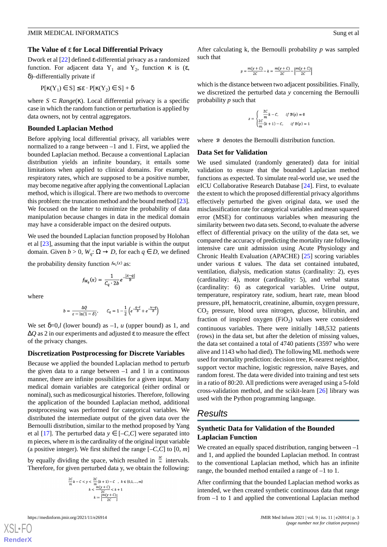#### **The Value of** ε **for Local Differential Privacy**

Dwork et al [\[22](#page-6-6)] defined ε-differential privacy as a randomized function. For adjacent data  $Y_1$  and  $Y_2$ , function  $\kappa$  is (ε, δ)–differentially private if

$$
P[\kappa(Y_1) \in S] \le \varepsilon \cdot P[\kappa(Y_2) \in S] + \delta
$$

where  $S \subset Range(\kappa)$ . Local differential privacy is a specific case in which the random function or perturbation is applied by data owners, not by central aggregators.

#### **Bounded Laplacian Method**

Before applying local differential privacy, all variables were normalized to a range between –1 and 1. First, we applied the bounded Laplacian method. Because a conventional Laplacian distribution yields an infinite boundary, it entails some limitations when applied to clinical domains. For example, respiratory rates, which are supposed to be a positive number, may become negative after applying the conventional Laplacian method, which is illogical. There are two methods to overcome this problem: the truncation method and the bound method [\[23\]](#page-6-7). We focused on the latter to minimize the probability of data manipulation because changes in data in the medical domain may have a considerable impact on the desired outputs.

We used the bounded Laplacian function proposed by Holohan et al [\[23](#page-6-7)], assuming that the input variable is within the output domain. Given  $b > 0$ ,  $W_q$ :  $\Omega \to D$ , for each  $q \in D$ , we defined

the probability density function  $f_{w_q}(x)$  as:

$$
f_{W_q}(x) = \frac{1}{C_q \cdot 2b} e^{-\frac{|x-q|}{b}}
$$

where

$$
b = \frac{\Delta Q}{\varepsilon - \ln(1 - \delta)}, \qquad C_q = 1 - \frac{1}{2} \left( e^{-\frac{q - l}{b}} + e^{-\frac{u - q}{b}} \right)
$$

We set  $\delta = 0$ ,*l* (lower bound) as  $-1$ , *u* (upper bound) as 1, and ∆*Q* as 2 in our experiments and adjusted ε to measure the effect of the privacy changes.

#### **Discretization Postprocessing for Discrete Variables**

Because we applied the bounded Laplacian method to perturb the given data to a range between  $-1$  and 1 in a continuous manner, there are infinite possibilities for a given input. Many medical domain variables are categorical (either ordinal or nominal), such as medicosurgical histories. Therefore, following the application of the bounded Laplacian method, additional postprocessing was performed for categorical variables. We distributed the intermediate output of the given data over the Bernoulli distribution, similar to the method proposed by Yang et al [\[17](#page-6-1)]. The perturbed data  $y \in [-C, C]$  were separated into m pieces, where m is the cardinality of the original input variable (a positive integer). We first shifted the range  $[-C, C]$  to  $[0, m]$ 

by equally dividing the space, which resulted in  $\frac{2c}{m}$  intervals. Therefore, for given perturbed data y, we obtain the following:

$$
\frac{2C}{m}k - C < y < \frac{2C}{m}(k+1) - C, \quad k \in \{0, 1, \dots, m\}
$$
\n
$$
k < \frac{m(y+C)}{2C} < k+1
$$
\n
$$
k := \left[\frac{m(y+C)}{2C}\right]
$$

[XSL](http://www.w3.org/Style/XSL)•FO **[RenderX](http://www.renderx.com/)**

After calculating k, the Bernoulli probability *p* was sampled such that

$$
p = \frac{m(y+C)}{2C} - k = \frac{m(y+C)}{2C} - \left[ \frac{m(y+C)}{2C} \right]
$$

which is the distance between two adjacent possibilities. Finally, we discretized the perturbed data *y* concerning the Bernoulli probability *p* such that

$$
z = \begin{cases} \frac{2C}{m}k - C, & \text{if } B(p) = 0\\ \frac{2C}{m}(k+1) - C, & \text{if } B(p) = 1 \end{cases}
$$

where  $\beta$  denotes the Bernoulli distribution function.

#### **Data Set for Validation**

We used simulated (randomly generated) data for initial validation to ensure that the bounded Laplacian method functions as expected. To simulate real-world use, we used the eICU Collaborative Research Database [\[24](#page-6-8)]. First, to evaluate the extent to which the proposed differential privacy algorithms effectively perturbed the given original data, we used the misclassification rate for categorical variables and mean squared error (MSE) for continuous variables when measuring the similarity between two data sets. Second, to evaluate the adverse effect of differential privacy on the utility of the data set, we compared the accuracy of predicting the mortality rate following intensive care unit admission using Acute Physiology and Chronic Health Evaluation (APACHE) [[25\]](#page-6-9) scoring variables under various ε values. The data set contained intubated, ventilation, dialysis, medication status (cardinality: 2), eyes (cardinality: 4), motor (cardinality: 5), and verbal status (cardinality: 6) as categorical variables. Urine output, temperature, respiratory rate, sodium, heart rate, mean blood pressure, pH, hematocrit, creatinine, albumin, oxygen pressure, CO<sup>2</sup> pressure, blood urea nitrogen, glucose, bilirubin, and fraction of inspired oxygen  $(FiO<sub>2</sub>)$  values were considered continuous variables. There were initially 148,532 patients (rows) in the data set, but after the deletion of missing values, the data set contained a total of 4740 patients (3597 who were alive and 1143 who had died). The following ML methods were used for mortality prediction: decision tree, K-nearest neighbor, support vector machine, logistic regression, naïve Bayes, and random forest. The data were divided into training and test sets in a ratio of 80:20. All predictions were averaged using a 5-fold cross-validation method, and the scikit-learn [[26\]](#page-6-10) library was used with the Python programming language.

# *Results*

#### **Synthetic Data for Validation of the Bounded Laplacian Function**

We created an equally spaced distribution, ranging between  $-1$ and 1, and applied the bounded Laplacian method. In contrast to the conventional Laplacian method, which has an infinite range, the bounded method entailed a range of –1 to 1.

After confirming that the bounded Laplacian method works as intended, we then created synthetic continuous data that range from –1 to 1 and applied the conventional Laplacian method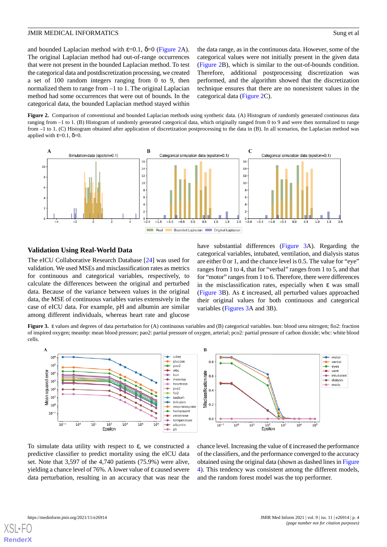and bounded Laplacian method with  $\varepsilon$ =0.1,  $\delta$ =0 [\(Figure 2A](#page-3-0)). The original Laplacian method had out-of-range occurrences that were not present in the bounded Laplacian method. To test the categorical data and postdiscretization processing, we created a set of 100 random integers ranging from 0 to 9, then normalized them to range from –1 to 1. The original Laplacian method had some occurrences that were out of bounds. In the categorical data, the bounded Laplacian method stayed within

the data range, as in the continuous data. However, some of the categorical values were not initially present in the given data ([Figure 2](#page-3-0)B), which is similar to the out-of-bounds condition. Therefore, additional postprocessing discretization was performed, and the algorithm showed that the discretization technique ensures that there are no nonexistent values in the categorical data [\(Figure 2C](#page-3-0)).

<span id="page-3-0"></span>Figure 2. Comparison of conventional and bounded Laplacian methods using synthetic data. (A) Histogram of randomly generated continuous data ranging from –1 to 1. (B) Histogram of randomly generated categorical data, which originally ranged from 0 to 9 and were then normalized to range from  $-1$  to 1. (C) Histogram obtained after application of discretization postprocessing to the data in (B). In all scenarios, the Laplacian method was applied with  $ε=0.1$ ,  $δ=0$ .



#### **Validation Using Real-World Data**

The eICU Collaborative Research Database [\[24](#page-6-8)] was used for validation. We used MSEs and misclassification rates as metrics for continuous and categorical variables, respectively, to calculate the differences between the original and perturbed data. Because of the variance between values in the original data, the MSE of continuous variables varies extensively in the case of eICU data. For example, pH and albumin are similar among different individuals, whereas heart rate and glucose

have substantial differences ([Figure 3A](#page-3-1)). Regarding the categorical variables, intubated, ventilation, and dialysis status are either 0 or 1, and the chance level is 0.5. The value for "eye" ranges from 1 to 4, that for "verbal" ranges from 1 to 5, and that for "motor" ranges from 1 to 6. Therefore, there were differences in the misclassification rates, especially when  $\varepsilon$  was small ([Figure 3](#page-3-1)B). As ε increased, all perturbed values approached their original values for both continuous and categorical variables [\(Figures 3A](#page-3-1) and 3B).

<span id="page-3-1"></span>**Figure 3. e** values and degrees of data perturbation for (A) continuous variables and (B) categorical variables. bun: blood urea nitrogen; fio2: fraction of inspired oxygen; meanbp: mean blood pressure; pao2: partial pressure of oxygen, arterial; pco2: partial pressure of carbon dioxide; wbc: white blood cells.



To simulate data utility with respect to ε, we constructed a predictive classifier to predict mortality using the eICU data set. Note that 3,597 of the 4,740 patients (75.9%) were alive, yielding a chance level of 76%. A lower value of ε caused severe data perturbation, resulting in an accuracy that was near the

chance level. Increasing the value of  $ε$  increased the performance of the classifiers, and the performance converged to the accuracy obtained using the original data (shown as dashed lines in [Figure](#page-4-0) [4\)](#page-4-0). This tendency was consistent among the different models, and the random forest model was the top performer.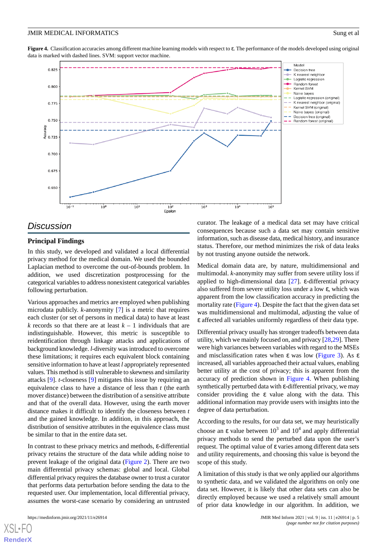<span id="page-4-0"></span>**Figure 4.** Classification accuracies among different machine learning models with respect to ε. The performance of the models developed using original data is marked with dashed lines. SVM: support vector machine.



## *Discussion*

## **Principal Findings**

In this study, we developed and validated a local differential privacy method for the medical domain. We used the bounded Laplacian method to overcome the out-of-bounds problem. In addition, we used discretization postprocessing for the categorical variables to address nonexistent categorical variables following perturbation.

Various approaches and metrics are employed when publishing microdata publicly. *k*-anonymity [[7\]](#page-5-6) is a metric that requires each cluster (or set of persons in medical data) to have at least *k* records so that there are at least  $k - 1$  individuals that are indistinguishable. However, this metric is susceptible to reidentification through linkage attacks and applications of background knowledge. *l*-diversity was introduced to overcome these limitations; it requires each equivalent block containing sensitive information to have at least *l* appropriately represented values. This method is still vulnerable to skewness and similarity attacks [\[9](#page-5-8)]. *t*-closeness [[9\]](#page-5-8) mitigates this issue by requiring an equivalence class to have a distance of less than *t* (the earth mover distance) between the distribution of a sensitive attribute and that of the overall data. However, using the earth mover distance makes it difficult to identify the closeness between *t* and the gained knowledge. In addition, in this approach, the distribution of sensitive attributes in the equivalence class must be similar to that in the entire data set.

In contrast to these privacy metrics and methods, ε-differential privacy retains the structure of the data while adding noise to prevent leakage of the original data [\(Figure 2](#page-3-0)). There are two main differential privacy schemas: global and local. Global differential privacy requires the database owner to trust a curator that performs data perturbation before sending the data to the requested user. Our implementation, local differential privacy, assumes the worst-case scenario by considering an untrusted

curator. The leakage of a medical data set may have critical consequences because such a data set may contain sensitive information, such as disease data, medical history, and insurance status. Therefore, our method minimizes the risk of data leaks by not trusting anyone outside the network.

Medical domain data are, by nature, multidimensional and multimodal. *k*-anonymity may suffer from severe utility loss if applied to high-dimensional data [\[27](#page-6-11)]. ε-differential privacy also suffered from severe utility loss under a low ε, which was apparent from the low classification accuracy in predicting the mortality rate ([Figure 4\)](#page-4-0). Despite the fact that the given data set was multidimensional and multimodal, adjusting the value of ε affected all variables uniformly regardless of their data type.

Differential privacy usually has stronger tradeoffs between data utility, which we mainly focused on, and privacy [\[28](#page-6-12),[29\]](#page-6-13). There were high variances between variables with regard to the MSEs and misclassification rates when ε was low [\(Figure 3](#page-3-1)). As ε increased, all variables approached their actual values, enabling better utility at the cost of privacy; this is apparent from the accuracy of prediction shown in [Figure 4](#page-4-0). When publishing synthetically perturbed data with ε-differential privacy, we may consider providing the ε value along with the data. This additional information may provide users with insights into the degree of data perturbation.

According to the results, for our data set, we may heuristically choose an  $\varepsilon$  value between  $10^3$  and  $10^4$  and apply differential privacy methods to send the perturbed data upon the user's request. The optimal value of ε varies among different data sets and utility requirements, and choosing this value is beyond the scope of this study.

A limitation of this study is that we only applied our algorithms to synthetic data, and we validated the algorithms on only one data set. However, it is likely that other data sets can also be directly employed because we used a relatively small amount of prior data knowledge in our algorithm. In addition, we

```
XSL•FO
RenderX
```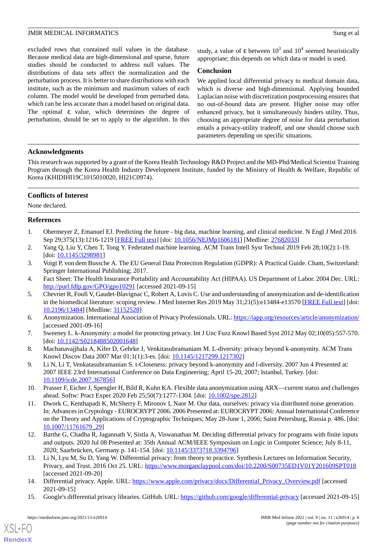excluded rows that contained null values in the database. Because medical data are high-dimensional and sparse, future studies should be conducted to address null values. The distributions of data sets affect the normalization and the perturbation process. It is better to share distributions with each institute, such as the minimum and maximum values of each column. The model would be developed from perturbed data, which can be less accurate than a model based on original data. The optimal ε value, which determines the degree of perturbation, should be set to apply to the algorithm. In this

study, a value of ε between  $10^3$  and  $10^4$  seemed heuristically appropriate; this depends on which data or model is used.

#### **Conclusion**

We applied local differential privacy to medical domain data, which is diverse and high-dimensional. Applying bounded Laplacian noise with discretization postprocessing ensures that no out-of-bound data are present. Higher noise may offer enhanced privacy, but it simultaneously hinders utility. Thus, choosing an appropriate degree of noise for data perturbation entails a privacy-utility tradeoff, and one should choose such parameters depending on specific situations.

## **Acknowledgments**

This research was supported by a grant of the Korea Health Technology R&D Project and the MD-Phd/Medical Scientist Training Program through the Korea Health Industry Development Institute, funded by the Ministry of Health & Welfare, Republic of Korea (KHIDIHI19C1015010020, HI21C0974).

## **Conflicts of Interest**

<span id="page-5-0"></span>None declared.

## <span id="page-5-1"></span>**References**

- <span id="page-5-2"></span>1. Obermeyer Z, Emanuel EJ. Predicting the future - big data, machine learning, and clinical medicine. N Engl J Med 2016 Sep 29;375(13):1216-1219 [\[FREE Full text\]](http://europepmc.org/abstract/MED/27682033) [doi: [10.1056/NEJMp1606181](http://dx.doi.org/10.1056/NEJMp1606181)] [Medline: [27682033](http://www.ncbi.nlm.nih.gov/entrez/query.fcgi?cmd=Retrieve&db=PubMed&list_uids=27682033&dopt=Abstract)]
- <span id="page-5-3"></span>2. Yang Q, Liu Y, Chen T, Tong Y. Federated machine learning. ACM Trans Intell Syst Technol 2019 Feb 28;10(2):1-19. [doi: [10.1145/3298981](http://dx.doi.org/10.1145/3298981)]
- <span id="page-5-4"></span>3. Voigt P, von dem Bussche A. The EU General Data Protection Regulation (GDPR): A Practical Guide. Cham, Switzerland: Springer International Publishing; 2017.
- 4. Fact Sheet: The Health Insurance Portability and Accountability Act (HIPAA). US Department of Labor. 2004 Dec. URL: <http://purl.fdlp.gov/GPO/gpo10291> [accessed 2021-09-15]
- <span id="page-5-6"></span><span id="page-5-5"></span>5. Chevrier R, Foufi V, Gaudet-Blavignac C, Robert A, Lovis C. Use and understanding of anonymization and de-identification in the biomedical literature: scoping review. J Med Internet Res 2019 May 31;21(5):e13484-e13570 [\[FREE Full text](https://www.jmir.org/2019/5/e13484/)] [doi: [10.2196/13484\]](http://dx.doi.org/10.2196/13484) [Medline: [31152528\]](http://www.ncbi.nlm.nih.gov/entrez/query.fcgi?cmd=Retrieve&db=PubMed&list_uids=31152528&dopt=Abstract)
- <span id="page-5-7"></span>6. Anonymization. International Association of Privacy Professionals. URL:<https://iapp.org/resources/article/anonymization/> [accessed 2001-09-16]
- <span id="page-5-8"></span>7. Sweeney L. k-Anonymity: a model for protecting privacy. Int J Unc Fuzz Knowl Based Syst 2012 May 02;10(05):557-570. [doi: [10.1142/S0218488502001648\]](http://dx.doi.org/10.1142/S0218488502001648)
- <span id="page-5-9"></span>8. Machanavajjhala A, Kifer D, Gehrke J, Venkitasubramaniam M. L-diversity: privacy beyond k-anonymity. ACM Trans Knowl Discov Data 2007 Mar 01;1(1):3-es. [doi: [10.1145/1217299.1217302\]](http://dx.doi.org/10.1145/1217299.1217302)
- <span id="page-5-10"></span>9. Li N, Li T, Venkatasubramanian S. t-Closeness: privacy beyond k-anonymity and l-diversity. 2007 Jun 4 Presented at: 2007 IEEE 23rd International Conference on Data Engineering; April 15-20, 2007; Istanbul, Turkey. [doi: [10.1109/icde.2007.367856\]](http://dx.doi.org/10.1109/icde.2007.367856)
- <span id="page-5-11"></span>10. Prasser F, Eicher J, Spengler H, Bild R, Kuhn KA. Flexible data anonymization using ARX—current status and challenges ahead. Softw: Pract Exper 2020 Feb 25;50(7):1277-1304. [doi: [10.1002/spe.2812\]](http://dx.doi.org/10.1002/spe.2812)
- <span id="page-5-12"></span>11. Dwork C, Kenthapadi K, McSherry F, Mironov I, Naor M. Our data, ourselves: privacy via distributed noise generation. In: Advances in Cryptology - EUROCRYPT 2006. 2006 Presented at: EUROCRYPT 2006: Annual International Conference on the Theory and Applications of Cryptographic Techniques; May 28-June 1, 2006; Saint Petersburg, Russia p. 486. [doi: [10.1007/11761679\\_29\]](http://dx.doi.org/10.1007/11761679_29)
- <span id="page-5-13"></span>12. Barthe G, Chadha R, Jagannath V, Sistla A, Viswanathan M. Deciding differential privacy for programs with finite inputs and outputs. 2020 Jul 08 Presented at: 35th Annual ACM/IEEE Symposium on Logic in Computer Science; July 8-11, 2020; Saarbrücken, Germany p. 141-154. [doi: [10.1145/3373718.3394796\]](http://dx.doi.org/10.1145/3373718.3394796)
- <span id="page-5-14"></span>13. Li N, Lyu M, Su D, Yang W. Differential privacy: from theory to practice. Synthesis Lectures on Information Security, Privacy, and Trust. 2016 Oct 25. URL:<https://www.morganclaypool.com/doi/10.2200/S00735ED1V01Y201609SPT018> [accessed 2021-09-20]
- 14. Differential privacy. Apple. URL: [https://www.apple.com/privacy/docs/Differential\\_Privacy\\_Overview.pdf](https://www.apple.com/privacy/docs/Differential_Privacy_Overview.pdf) [accessed 2021-09-15]
- 15. Google's differential privacy libraries. GitHub. URL:<https://github.com/google/differential-privacy> [accessed 2021-09-15]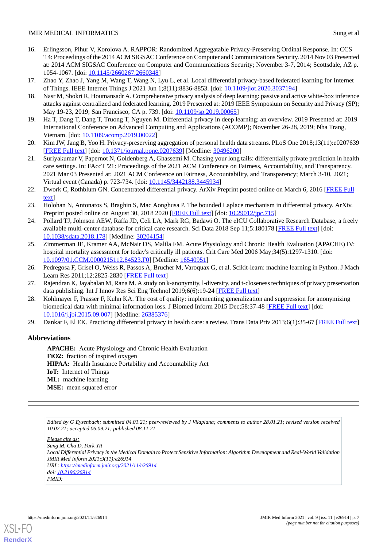- <span id="page-6-0"></span>16. Erlingsson, Pihur V, Korolova A. RAPPOR: Randomized Aggregatable Privacy-Preserving Ordinal Response. In: CCS '14: Proceedings of the 2014 ACM SIGSAC Conference on Computer and Communications Security. 2014 Nov 03 Presented at: 2014 ACM SIGSAC Conference on Computer and Communications Security; November 3-7, 2014; Scottsdale, AZ p. 1054-1067. [doi: [10.1145/2660267.2660348](http://dx.doi.org/10.1145/2660267.2660348)]
- <span id="page-6-2"></span><span id="page-6-1"></span>17. Zhao Y, Zhao J, Yang M, Wang T, Wang N, Lyu L, et al. Local differential privacy-based federated learning for Internet of Things. IEEE Internet Things J 2021 Jun 1;8(11):8836-8853. [doi: [10.1109/jiot.2020.3037194](http://dx.doi.org/10.1109/jiot.2020.3037194)]
- <span id="page-6-3"></span>18. Nasr M, Shokri R, Houmansadr A. Comprehensive privacy analysis of deep learning: passive and active white-box inference attacks against centralized and federated learning. 2019 Presented at: 2019 IEEE Symposium on Security and Privacy (SP); May 19-23, 2019; San Francisco, CA p. 739. [doi:  $10.1109/\text{sp}.2019.00065$ ]
- <span id="page-6-4"></span>19. Ha T, Dang T, Dang T, Truong T, Nguyen M. Differential privacy in deep learning: an overview. 2019 Presented at: 2019 International Conference on Advanced Computing and Applications (ACOMP); November 26-28, 2019; Nha Trang, Vietnam. [doi: [10.1109/acomp.2019.00022\]](http://dx.doi.org/10.1109/acomp.2019.00022)
- <span id="page-6-5"></span>20. Kim JW, Jang B, Yoo H. Privacy-preserving aggregation of personal health data streams. PLoS One 2018;13(11):e0207639 [[FREE Full text](https://tinyurl.com/yufc2xm2)] [doi: [10.1371/journal.pone.0207639](http://dx.doi.org/10.1371/journal.pone.0207639)] [Medline: [30496200](http://www.ncbi.nlm.nih.gov/entrez/query.fcgi?cmd=Retrieve&db=PubMed&list_uids=30496200&dopt=Abstract)]
- <span id="page-6-6"></span>21. Suriyakumar V, Papernot N, Goldenberg A, Ghassemi M. Chasing your long tails: differentially private prediction in health care settings. In: FAccT '21: Proceedings of the 2021 ACM Conference on Fairness, Accountability, and Transparency. 2021 Mar 03 Presented at: 2021 ACM Conference on Fairness, Accountability, and Transparency; March 3-10, 2021; Virtual event (Canada) p. 723-734. [doi: [10.1145/3442188.3445934](http://dx.doi.org/10.1145/3442188.3445934)]
- <span id="page-6-7"></span>22. Dwork C, Rothblum GN. Concentrated differential privacy. ArXiv Preprint posted online on March 6, 2016 [\[FREE Full](http://arxiv.org/abs/1603.01887) [text](http://arxiv.org/abs/1603.01887)]
- <span id="page-6-8"></span>23. Holohan N, Antonatos S, Braghin S, Mac Aonghusa P. The bounded Laplace mechanism in differential privacy. ArXiv. Preprint posted online on August 30, 2018 2020 [[FREE Full text\]](http://arxiv.org/abs/1808.10410) [doi: [10.29012/jpc.715](http://dx.doi.org/10.29012/jpc.715)]
- <span id="page-6-9"></span>24. Pollard TJ, Johnson AEW, Raffa JD, Celi LA, Mark RG, Badawi O. The eICU Collaborative Research Database, a freely available multi-center database for critical care research. Sci Data 2018 Sep 11;5:180178 [[FREE Full text](https://doi.org/10.1038/sdata.2018.178)] [doi: [10.1038/sdata.2018.178](http://dx.doi.org/10.1038/sdata.2018.178)] [Medline: [30204154](http://www.ncbi.nlm.nih.gov/entrez/query.fcgi?cmd=Retrieve&db=PubMed&list_uids=30204154&dopt=Abstract)]
- <span id="page-6-11"></span><span id="page-6-10"></span>25. Zimmerman JE, Kramer AA, McNair DS, Malila FM. Acute Physiology and Chronic Health Evaluation (APACHE) IV: hospital mortality assessment for today's critically ill patients. Crit Care Med 2006 May;34(5):1297-1310. [doi: [10.1097/01.CCM.0000215112.84523.F0\]](http://dx.doi.org/10.1097/01.CCM.0000215112.84523.F0) [Medline: [16540951](http://www.ncbi.nlm.nih.gov/entrez/query.fcgi?cmd=Retrieve&db=PubMed&list_uids=16540951&dopt=Abstract)]
- <span id="page-6-12"></span>26. Pedregosa F, Grisel O, Weiss R, Passos A, Brucher M, Varoquax G, et al. Scikit-learn: machine learning in Python. J Mach Learn Res 2011;12:2825-2830 [[FREE Full text\]](https://www.jmlr.org/papers/volume12/pedregosa11a/pedregosa11a.pdf)
- <span id="page-6-13"></span>27. Rajendran K, Jayabalan M, Rana M. A study on k-anonymity, l-diversity, and t-closeness techniques of privacy preservation data publishing. Int J Innov Res Sci Eng Technol 2019;6(6):19-24 [[FREE Full text](http://www.ijirst.org/articles/IJIRSTV6I6015.pdf)]
- 28. Kohlmayer F, Prasser F, Kuhn KA. The cost of quality: implementing generalization and suppression for anonymizing biomedical data with minimal information loss. J Biomed Inform 2015 Dec;58:37-48 [\[FREE Full text\]](https://linkinghub.elsevier.com/retrieve/pii/S1532-0464(15)00200-2) [doi: [10.1016/j.jbi.2015.09.007](http://dx.doi.org/10.1016/j.jbi.2015.09.007)] [Medline: [26385376\]](http://www.ncbi.nlm.nih.gov/entrez/query.fcgi?cmd=Retrieve&db=PubMed&list_uids=26385376&dopt=Abstract)
- 29. Dankar F, El EK. Practicing differential privacy in health care: a review. Trans Data Priv 2013;6(1):35-67 [[FREE Full text](http://www.tdp.cat/issues11/tdp.a129a13.pdf)]

# **Abbreviations**

**APACHE:** Acute Physiology and Chronic Health Evaluation **FiO2:** fraction of inspired oxygen **HIPAA:** Health Insurance Portability and Accountability Act **IoT:** Internet of Things **ML:** machine learning **MSE:** mean squared error

*Edited by G Eysenbach; submitted 04.01.21; peer-reviewed by J Vilaplana; comments to author 28.01.21; revised version received 10.02.21; accepted 06.09.21; published 08.11.21*

*Please cite as: Sung M, Cha D, Park YR Local Differential Privacy in the Medical Domain to Protect Sensitive Information: Algorithm Development and Real-World Validation JMIR Med Inform 2021;9(11):e26914 URL: <https://medinform.jmir.org/2021/11/e26914> doi: [10.2196/26914](http://dx.doi.org/10.2196/26914) PMID:*